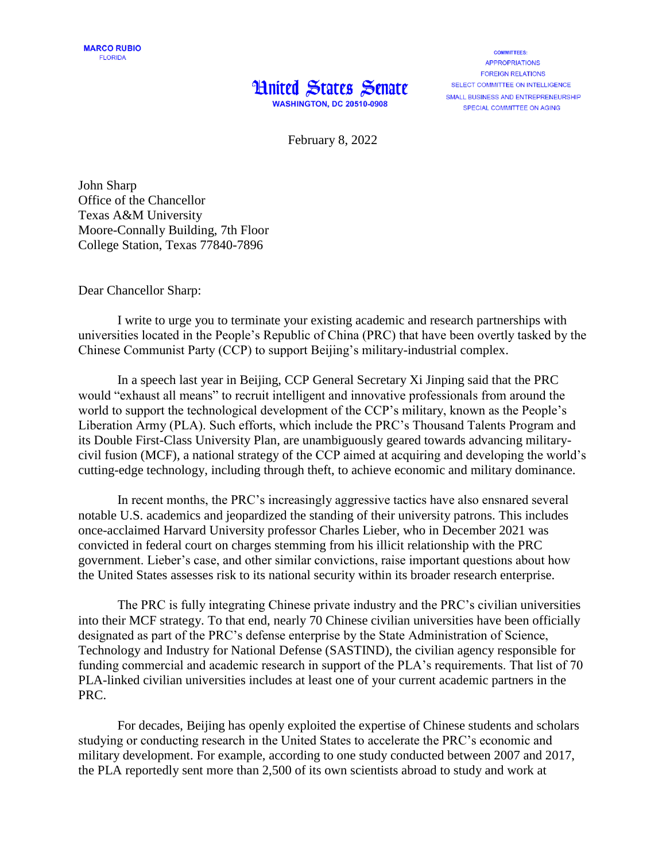## **Hnited States Senate WASHINGTON, DC 20510-0908**

**COMMITTEES: APPROPRIATIONS FOREIGN RELATIONS** SELECT COMMITTEE ON INTELLIGENCE SMALL BUSINESS AND ENTREPRENEURSHIP SPECIAL COMMITTEE ON AGING

February 8, 2022

John Sharp Office of the Chancellor Texas A&M University Moore-Connally Building, 7th Floor College Station, Texas 77840-7896

Dear Chancellor Sharp:

I write to urge you to terminate your existing academic and research partnerships with universities located in the People's Republic of China (PRC) that have been overtly tasked by the Chinese Communist Party (CCP) to support Beijing's military-industrial complex.

In a speech last year in Beijing, CCP General Secretary Xi Jinping said that the PRC would "exhaust all means" to recruit intelligent and innovative professionals from around the world to support the technological development of the CCP's military, known as the People's Liberation Army (PLA). Such efforts, which include the PRC's Thousand Talents Program and its Double First-Class University Plan, are unambiguously geared towards advancing militarycivil fusion (MCF), a national strategy of the CCP aimed at acquiring and developing the world's cutting-edge technology, including through theft, to achieve economic and military dominance.

In recent months, the PRC's increasingly aggressive tactics have also ensnared several notable U.S. academics and jeopardized the standing of their university patrons. This includes once-acclaimed Harvard University professor Charles Lieber, who in December 2021 was convicted in federal court on charges stemming from his illicit relationship with the PRC government. Lieber's case, and other similar convictions, raise important questions about how the United States assesses risk to its national security within its broader research enterprise.

The PRC is fully integrating Chinese private industry and the PRC's civilian universities into their MCF strategy. To that end, nearly 70 Chinese civilian universities have been officially designated as part of the PRC's defense enterprise by the State Administration of Science, Technology and Industry for National Defense (SASTIND), the civilian agency responsible for funding commercial and academic research in support of the PLA's requirements. That list of 70 PLA-linked civilian universities includes at least one of your current academic partners in the PRC.

For decades, Beijing has openly exploited the expertise of Chinese students and scholars studying or conducting research in the United States to accelerate the PRC's economic and military development. For example, according to one study conducted between 2007 and 2017, the PLA reportedly sent more than 2,500 of its own scientists abroad to study and work at